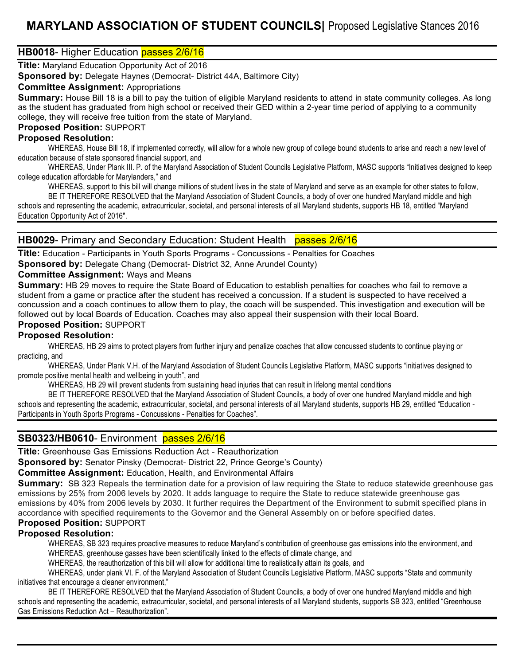# **MARYLAND ASSOCIATION OF STUDENT COUNCILS|** Proposed Legislative Stances 2016

## **HB0018**- Higher Education passes 2/6/16

**Title:** Maryland Education Opportunity Act of 2016

**Sponsored by: Delegate Haynes (Democrat- District 44A, Baltimore City)** 

### **Committee Assignment:** Appropriations

**Summary:** House Bill 18 is a bill to pay the tuition of eligible Maryland residents to attend in state community colleges. As long as the student has graduated from high school or received their GED within a 2-year time period of applying to a community college, they will receive free tuition from the state of Maryland.

**Proposed Position:** SUPPORT

### **Proposed Resolution:**

WHEREAS, House Bill 18, if implemented correctly, will allow for a whole new group of college bound students to arise and reach a new level of education because of state sponsored financial support, and

WHEREAS, Under Plank III. P. of the Maryland Association of Student Councils Legislative Platform, MASC supports "Initiatives designed to keep college education affordable for Marylanders," and

WHEREAS, support to this bill will change millions of student lives in the state of Maryland and serve as an example for other states to follow.

BE IT THEREFORE RESOLVED that the Maryland Association of Student Councils, a body of over one hundred Maryland middle and high schools and representing the academic, extracurricular, societal, and personal interests of all Maryland students, supports HB 18, entitled "Maryland Education Opportunity Act of 2016".

## **HB0029**- Primary and Secondary Education: Student Healthpasses 2/6/16

**Title:** Education - Participants in Youth Sports Programs - Concussions - Penalties for Coaches

**Sponsored by:** Delegate Chang (Democrat- District 32, Anne Arundel County)

**Committee Assignment:** Ways and Means

**Summary:** HB 29 moves to require the State Board of Education to establish penalties for coaches who fail to remove a student from a game or practice after the student has received a concussion. If a student is suspected to have received a concussion and a coach continues to allow them to play, the coach will be suspended. This investigation and execution will be followed out by local Boards of Education. Coaches may also appeal their suspension with their local Board.

## **Proposed Position:** SUPPORT

### **Proposed Resolution:**

 WHEREAS, HB 29 aims to protect players from further injury and penalize coaches that allow concussed students to continue playing or practicing, and

 WHEREAS, Under Plank V.H. of the Maryland Association of Student Councils Legislative Platform, MASC supports "initiatives designed to promote positive mental health and wellbeing in youth", and

WHEREAS, HB 29 will prevent students from sustaining head injuries that can result in lifelong mental conditions

BE IT THEREFORE RESOLVED that the Maryland Association of Student Councils, a body of over one hundred Maryland middle and high schools and representing the academic, extracurricular, societal, and personal interests of all Maryland students, supports HB 29, entitled "Education - Participants in Youth Sports Programs - Concussions - Penalties for Coaches".

### **SB0323/HB0610**- Environment passes 2/6/16

**Title:** Greenhouse Gas Emissions Reduction Act - Reauthorization

**Sponsored by:** Senator Pinsky (Democrat- District 22, Prince George's County)

**Committee Assignment:** Education, Health, and Environmental Affairs

**Summary:** SB 323 Repeals the termination date for a provision of law requiring the State to reduce statewide greenhouse gas emissions by 25% from 2006 levels by 2020. It adds language to require the State to reduce statewide greenhouse gas emissions by 40% from 2006 levels by 2030. It further requires the Department of the Environment to submit specified plans in accordance with specified requirements to the Governor and the General Assembly on or before specified dates.

## **Proposed Position:** SUPPORT

### **Proposed Resolution:**

WHEREAS, SB 323 requires proactive measures to reduce Maryland's contribution of greenhouse gas emissions into the environment, and WHEREAS, greenhouse gasses have been scientifically linked to the effects of climate change, and

WHEREAS, the reauthorization of this bill will allow for additional time to realistically attain its goals, and

WHEREAS, under plank VI. F. of the Maryland Association of Student Councils Legislative Platform, MASC supports "State and community initiatives that encourage a cleaner environment,"

BE IT THEREFORE RESOLVED that the Maryland Association of Student Councils, a body of over one hundred Maryland middle and high schools and representing the academic, extracurricular, societal, and personal interests of all Maryland students, supports SB 323, entitled "Greenhouse Gas Emissions Reduction Act – Reauthorization".